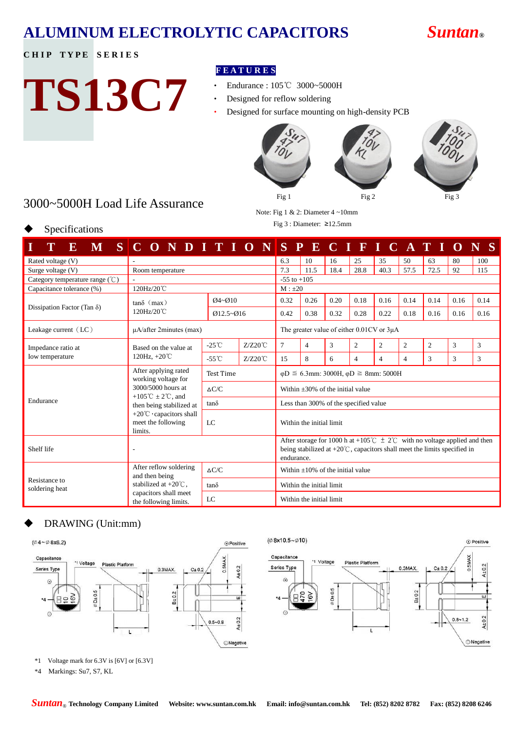## **ALUMINUM ELECTROLYTIC CAPACITORS** *Suntan***®**

### **CHIP TYPE SERIES**

Specifications

# **TS13C7**

### **F E A T U R E S**

- ‧ Endurance : 105℃ 3000~5000H
- Designed for reflow soldering
- Designed for surface mounting on high-density PCB







3000~5000H Load Life Assurance

Note: Fig 1 & 2: Diameter 4 ~10mm Fig 3 : Diameter: ≥12.5mm

| M<br>${\bf E}$                     | $S C$ O N D I T I O N                                           |                  |                                                                                                                                                                                   |                                       |                                                  |      |                |                |                | SPECIFICATI | $\Omega$ |      |
|------------------------------------|-----------------------------------------------------------------|------------------|-----------------------------------------------------------------------------------------------------------------------------------------------------------------------------------|---------------------------------------|--------------------------------------------------|------|----------------|----------------|----------------|-------------|----------|------|
| Rated voltage (V)                  |                                                                 |                  |                                                                                                                                                                                   |                                       | 10                                               | 16   | 25             | 35             | 50             | 63          | 80       | 100  |
| Surge voltage (V)                  | Room temperature                                                |                  |                                                                                                                                                                                   | 7.3                                   | 11.5                                             | 18.4 | 28.8           | 40.3           | 57.5           | 72.5        | 92       | 115  |
| Category temperature range (°C)    |                                                                 |                  |                                                                                                                                                                                   | $-55$ to $+105$                       |                                                  |      |                |                |                |             |          |      |
| Capacitance tolerance (%)          | 120Hz/20°C                                                      |                  |                                                                                                                                                                                   | $M : \pm 20$                          |                                                  |      |                |                |                |             |          |      |
| Dissipation Factor (Tan $\delta$ ) | $tan\delta$ (max)                                               | $Q4 - Q10$       |                                                                                                                                                                                   | 0.32                                  | 0.26                                             | 0.20 | 0.18           | 0.16           | 0.14           | 0.14        | 0.16     | 0.14 |
|                                    | 120Hz/20°C                                                      | $Q12.5 - Q16$    |                                                                                                                                                                                   | 0.42                                  | 0.38                                             | 0.32 | 0.28           | 0.22           | 0.18           | 0.16        | 0.16     | 0.16 |
| Leakage current $(LC)$             | $\mu$ A/after 2minutes (max)                                    |                  |                                                                                                                                                                                   |                                       | The greater value of either $0.01CV$ or $3\mu A$ |      |                |                |                |             |          |      |
| Impedance ratio at                 | Based on the value at<br>120Hz, $+20^{\circ}$ C                 | $-25^{\circ}$ C  | $Z/Z20^{\circ}$ C                                                                                                                                                                 | 7                                     | $\overline{4}$                                   | 3    | $\overline{c}$ | $\overline{c}$ | $\overline{c}$ | 2           | 3        | 3    |
| Iow temperature                    |                                                                 | $-55^{\circ}$ C  | $Z/Z20^{\circ}C$                                                                                                                                                                  | 15                                    | 8                                                | 6    | 4              | $\overline{4}$ | $\overline{4}$ | 3           | 3        | 3    |
|                                    | After applying rated<br>working voltage for                     | <b>Test Time</b> | $\varphi$ D $\leq$ 6.3mm: 3000H, $\varphi$ D $\geq$ 8mm: 5000H                                                                                                                    |                                       |                                                  |      |                |                |                |             |          |      |
|                                    | 3000/5000 hours at                                              | $\Delta C/C$     |                                                                                                                                                                                   | Within $+30\%$ of the initial value   |                                                  |      |                |                |                |             |          |      |
| Endurance                          | +105°C $\pm 2$ °C, and<br>then being stabilized at              | $tan\delta$      |                                                                                                                                                                                   | Less than 300% of the specified value |                                                  |      |                |                |                |             |          |      |
|                                    | +20°C · capacitors shall<br>meet the following<br>LC<br>limits. |                  |                                                                                                                                                                                   | Within the initial limit              |                                                  |      |                |                |                |             |          |      |
| Shelf life                         | $\overline{a}$                                                  |                  | After storage for 1000 h at +105°C $\pm$ 2°C with no voltage applied and then<br>being stabilized at $+20^{\circ}$ C, capacitors shall meet the limits specified in<br>endurance. |                                       |                                                  |      |                |                |                |             |          |      |
|                                    | After reflow soldering<br>and then being                        | $\triangle C/C$  |                                                                                                                                                                                   | Within +10% of the initial value      |                                                  |      |                |                |                |             |          |      |
| Resistance to<br>soldering heat    | stabilized at $+20^{\circ}$ C,                                  | $tan\delta$      |                                                                                                                                                                                   | Within the initial limit              |                                                  |      |                |                |                |             |          |      |
|                                    | capacitors shall meet<br>LC<br>the following limits.            |                  |                                                                                                                                                                                   | Within the initial limit              |                                                  |      |                |                |                |             |          |      |

### DRAWING (Unit:mm)



\*4 Markings: Su7, S7, KL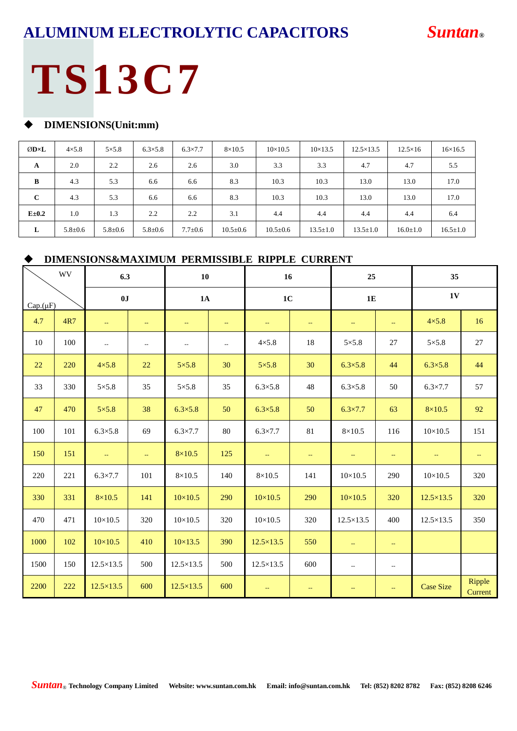### **ALUMINUM ELECTROLYTIC CAPACITORS** *Suntan®*

## **TS13C7**

### **DIMENSIONS(Unit:mm)**

| ØD×L         | $4\times5.8$ | $5\times5.8$ | $6.3 \times 5.8$ | $6.3 \times 7.7$ | $8\times10.5$  | $10\times10.5$ | $10 \times 13.5$ | $12.5 \times 13.5$ | $12.5 \times 16$ | $16\times16.5$ |
|--------------|--------------|--------------|------------------|------------------|----------------|----------------|------------------|--------------------|------------------|----------------|
| A            | 2.0          | 2.2          | 2.6              | 2.6              | 3.0            | 3.3            | 3.3              | 4.7                | 4.7              | 5.5            |
| B            | 4.3          | 5.3          | 6.6              | 6.6              | 8.3            | 10.3           | 10.3             | 13.0               | 13.0             | 17.0           |
| $\mathbf{C}$ | 4.3          | 5.3          | 6.6              | 6.6              | 8.3            | 10.3           | 10.3             | 13.0               | 13.0             | 17.0           |
| $E = 0.2$    | 1.0          | 1.3          | 2.2              | 2.2              | 3.1            | 4.4            | 4.4              | 4.4                | 4.4              | 6.4            |
| L            | $5.8 + 0.6$  | $5.8 + 0.6$  | $5.8 + 0.6$      | $7.7 \pm 0.6$    | $10.5 \pm 0.6$ | $10.5 \pm 0.6$ | $13.5 \pm 1.0$   | $13.5 \pm 1.0$     | $16.0 \pm 1.0$   | $16.5 \pm 1.0$ |

### **DIMENSIONS&MAXIMUM PERMISSIBLE RIPPLE CURRENT**

|          | <b>WV</b> | 6.3                      |                           | 10                       |                          | 16                      |     | 25                                            |                          | 35                      |                          |
|----------|-----------|--------------------------|---------------------------|--------------------------|--------------------------|-------------------------|-----|-----------------------------------------------|--------------------------|-------------------------|--------------------------|
| Cap.(µF) | 0J        |                          | 1A                        |                          | 1 <sub>C</sub>           |                         | 1E  |                                               | 1V                       |                         |                          |
| 4.7      | 4R7       | $\mathbb{L}^2$           | $\mathbb{L}^{\mathbb{L}}$ | $\mathbb{L} \mathbb{L}$  | $\perp$ .                | $\mathbb{L} \mathbb{L}$ | ш.  | $\mathbb{L} \mathbb{L}$                       | ц.                       | $4\times5.8$            | 16                       |
| 10       | 100       | $\overline{\phantom{a}}$ | $\overline{\phantom{a}}$  | $\overline{\phantom{a}}$ | $\overline{\phantom{a}}$ | $4\times5.8$            | 18  | $5 \times 5.8$                                | 27                       | $5 \times 5.8$          | $27\,$                   |
| 22       | 220       | $4\times5.8$             | 22                        | $5\times5.8$             | 30                       | $5\times5.8$            | 30  | $6.3 \times 5.8$                              | 44                       | $6.3 \times 5.8$        | 44                       |
| 33       | 330       | $5 \times 5.8$           | 35                        | $5 \times 5.8$           | 35                       | $6.3 \times 5.8$        | 48  | $6.3 \times 5.8$                              | 50                       | $6.3 \times 7.7$        | 57                       |
| 47       | 470       | $5 \times 5.8$           | 38                        | $6.3 \times 5.8$         | 50                       | $6.3 \times 5.8$        | 50  | $6.3 \times 7.7$                              | 63                       | $8\times10.5$           | 92                       |
| 100      | 101       | $6.3 \times 5.8$         | 69                        | $6.3 \times 7.7$         | $80\,$                   | $6.3 \times 7.7$        | 81  | $8\times10.5$                                 | 116                      | $10\times10.5$          | 151                      |
| 150      | 151       | u.                       | u,                        | $8\times10.5$            | 125                      | u,                      | ш.  | $\mathord{\hspace{1pt}\text{--}\hspace{1pt}}$ | $\rightarrow$            | $\mathbb{L} \mathbb{L}$ | $\overline{\phantom{a}}$ |
| 220      | 221       | $6.3 \times 7.7$         | 101                       | $8\times10.5$            | 140                      | $8\times10.5$           | 141 | $10\times10.5$                                | 290                      | $10\times10.5$          | 320                      |
| 330      | 331       | $8\times10.5$            | 141                       | $10\times10.5$           | 290                      | $10\times10.5$          | 290 | $10\times10.5$                                | 320                      | $12.5 \times 13.5$      | 320                      |
| 470      | 471       | $10\times10.5$           | 320                       | $10\times10.5$           | 320                      | $10\times10.5$          | 320 | $12.5 \times 13.5$                            | 400                      | $12.5 \times 13.5$      | 350                      |
| 1000     | 102       | $10 \times 10.5$         | 410                       | $10 \times 13.5$         | 390                      | $12.5 \times 13.5$      | 550 | $\sim$                                        | $\rightarrow$            |                         |                          |
| 1500     | 150       | $12.5 \times 13.5$       | 500                       | $12.5 \times 13.5$       | 500                      | $12.5 \times 13.5$      | 600 | $\sim$ $-$                                    | $\overline{\phantom{a}}$ |                         |                          |
| 2200     | 222       | $12.5 \times 13.5$       | 600                       | $12.5 \times 13.5$       | 600                      | $\rightarrow$           | 44  | 44                                            | $\rightarrow$            | <b>Case Size</b>        | Ripple<br>Current        |